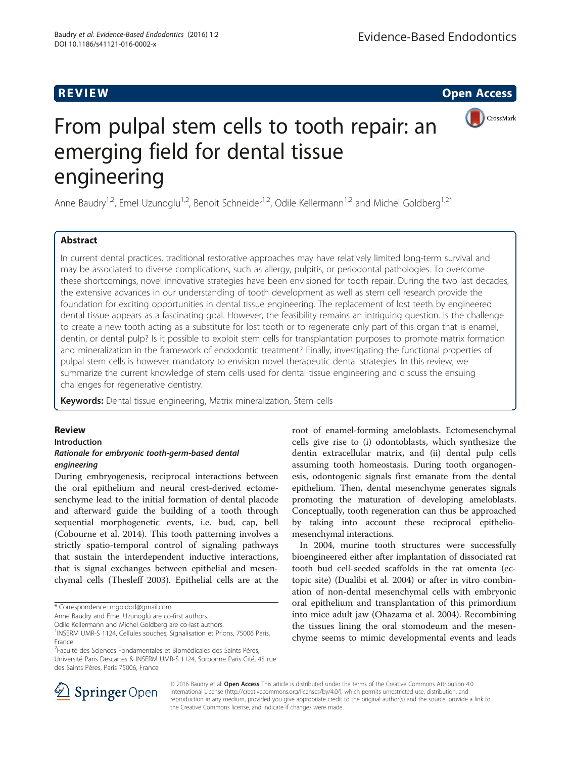CrossMark

# From pulpal stem cells to tooth repair: an emerging field for dental tissue engineering

Anne Baudry<sup>1,2</sup>, Emel Uzunoglu<sup>1,2</sup>, Benoit Schneider<sup>1,2</sup>, Odile Kellermann<sup>1,2</sup> and Michel Goldberg<sup>1,2\*</sup>

# **Abstract**

In current dental practices, traditional restorative approaches may have relatively limited long-term survival and may be associated to diverse complications, such as allergy, pulpitis, or periodontal pathologies. To overcome these shortcomings, novel innovative strategies have been envisioned for tooth repair. During the two last decades, the extensive advances in our understanding of tooth development as well as stem cell research provide the foundation for exciting opportunities in dental tissue engineering. The replacement of lost teeth by engineered dental tissue appears as a fascinating goal. However, the feasibility remains an intriguing question. Is the challenge to create a new tooth acting as a substitute for lost tooth or to regenerate only part of this organ that is enamel, dentin, or dental pulp? Is it possible to exploit stem cells for transplantation purposes to promote matrix formation and mineralization in the framework of endodontic treatment? Finally, investigating the functional properties of pulpal stem cells is however mandatory to envision novel therapeutic dental strategies. In this review, we summarize the current knowledge of stem cells used for dental tissue engineering and discuss the ensuing challenges for regenerative dentistry.

Keywords: Dental tissue engineering, Matrix mineralization, Stem cells

## **Review**

Introduction

# Rationale for embryonic tooth-germ-based dental engineering

During embryogenesis, reciprocal interactions between the oral epithelium and neural crest-derived ectomesenchyme lead to the initial formation of dental placode and afterward guide the building of a tooth through sequential morphogenetic events, i.e. bud, cap, bell (Cobourne et al. [2014\)](#page-3-0). This tooth patterning involves a strictly spatio-temporal control of signaling pathways that sustain the interdependent inductive interactions, that is signal exchanges between epithelial and mesenchymal cells (Thesleff [2003](#page-4-0)). Epithelial cells are at the

\* Correspondence: [mgoldod@gmail.com](mailto:mgoldod@gmail.com)

Odile Kellermann and Michel Goldberg are co-last authors.

<sup>2</sup>Faculté des Sciences Fondamentales et Biomédicales des Saints Pères, Université Paris Descartes & INSERM UMR-S 1124, Sorbonne Paris Cité, 45 rue des Saints Pères, Paris 75006, France

root of enamel-forming ameloblasts. Ectomesenchymal cells give rise to (i) odontoblasts, which synthesize the dentin extracellular matrix, and (ii) dental pulp cells assuming tooth homeostasis. During tooth organogenesis, odontogenic signals first emanate from the dental epithelium. Then, dental mesenchyme generates signals promoting the maturation of developing ameloblasts. Conceptually, tooth regeneration can thus be approached by taking into account these reciprocal epitheliomesenchymal interactions.

In 2004, murine tooth structures were successfully bioengineered either after implantation of dissociated rat tooth bud cell-seeded scaffolds in the rat omenta (ectopic site) (Dualibi et al. [2004](#page-3-0)) or after in vitro combination of non-dental mesenchymal cells with embryonic oral epithelium and transplantation of this primordium into mice adult jaw (Ohazama et al. [2004\)](#page-4-0). Recombining the tissues lining the oral stomodeum and the mesenchyme seems to mimic developmental events and leads



© 2016 Baudry et al. Open Access This article is distributed under the terms of the Creative Commons Attribution 4.0 International License ([http://creativecommons.org/licenses/by/4.0/\)](http://creativecommons.org/licenses/by/4.0/), which permits unrestricted use, distribution, and reproduction in any medium, provided you give appropriate credit to the original author(s) and the source, provide a link to the Creative Commons license, and indicate if changes were made.

Anne Baudry and Emel Uzunoglu are co-first authors.

<sup>&</sup>lt;sup>1</sup>INSERM UMR-S 1124, Cellules souches, Signalisation et Prions, 75006 Paris, France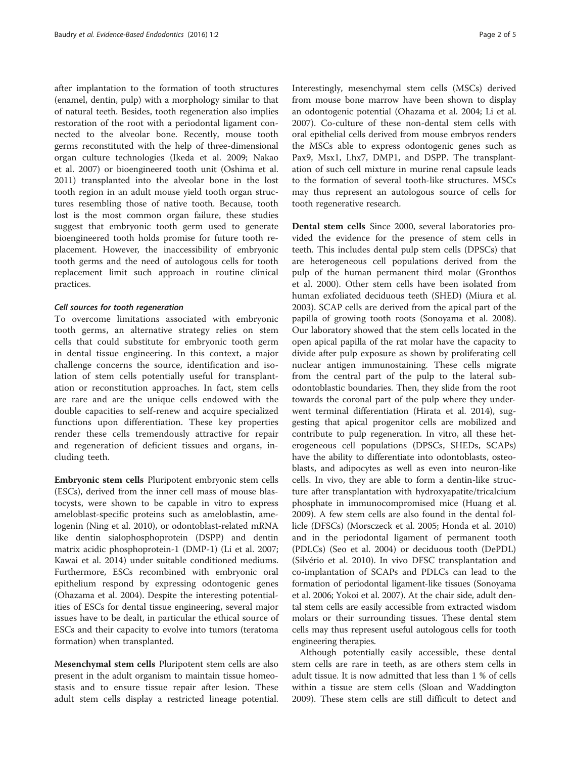after implantation to the formation of tooth structures (enamel, dentin, pulp) with a morphology similar to that of natural teeth. Besides, tooth regeneration also implies restoration of the root with a periodontal ligament connected to the alveolar bone. Recently, mouse tooth germs reconstituted with the help of three-dimensional organ culture technologies (Ikeda et al. [2009](#page-3-0); Nakao et al. [2007](#page-4-0)) or bioengineered tooth unit (Oshima et al. [2011](#page-4-0)) transplanted into the alveolar bone in the lost tooth region in an adult mouse yield tooth organ structures resembling those of native tooth. Because, tooth lost is the most common organ failure, these studies suggest that embryonic tooth germ used to generate bioengineered tooth holds promise for future tooth replacement. However, the inaccessibility of embryonic tooth germs and the need of autologous cells for tooth replacement limit such approach in routine clinical practices.

### Cell sources for tooth regeneration

To overcome limitations associated with embryonic tooth germs, an alternative strategy relies on stem cells that could substitute for embryonic tooth germ in dental tissue engineering. In this context, a major challenge concerns the source, identification and isolation of stem cells potentially useful for transplantation or reconstitution approaches. In fact, stem cells are rare and are the unique cells endowed with the double capacities to self-renew and acquire specialized functions upon differentiation. These key properties render these cells tremendously attractive for repair and regeneration of deficient tissues and organs, including teeth.

Embryonic stem cells Pluripotent embryonic stem cells (ESCs), derived from the inner cell mass of mouse blastocysts, were shown to be capable in vitro to express ameloblast-specific proteins such as ameloblastin, amelogenin (Ning et al. [2010\)](#page-4-0), or odontoblast-related mRNA like dentin sialophosphoprotein (DSPP) and dentin matrix acidic phosphoprotein-1 (DMP-1) (Li et al. [2007](#page-4-0); Kawai et al. [2014\)](#page-3-0) under suitable conditioned mediums. Furthermore, ESCs recombined with embryonic oral epithelium respond by expressing odontogenic genes (Ohazama et al. [2004](#page-4-0)). Despite the interesting potentialities of ESCs for dental tissue engineering, several major issues have to be dealt, in particular the ethical source of ESCs and their capacity to evolve into tumors (teratoma formation) when transplanted.

Mesenchymal stem cells Pluripotent stem cells are also present in the adult organism to maintain tissue homeostasis and to ensure tissue repair after lesion. These adult stem cells display a restricted lineage potential. Interestingly, mesenchymal stem cells (MSCs) derived from mouse bone marrow have been shown to display an odontogenic potential (Ohazama et al. [2004;](#page-4-0) Li et al. [2007](#page-4-0)). Co-culture of these non-dental stem cells with oral epithelial cells derived from mouse embryos renders the MSCs able to express odontogenic genes such as Pax9, Msx1, Lhx7, DMP1, and DSPP. The transplantation of such cell mixture in murine renal capsule leads to the formation of several tooth-like structures. MSCs may thus represent an autologous source of cells for tooth regenerative research.

Dental stem cells Since 2000, several laboratories provided the evidence for the presence of stem cells in teeth. This includes dental pulp stem cells (DPSCs) that are heterogeneous cell populations derived from the pulp of the human permanent third molar (Gronthos et al. [2000](#page-3-0)). Other stem cells have been isolated from human exfoliated deciduous teeth (SHED) (Miura et al. [2003](#page-4-0)). SCAP cells are derived from the apical part of the papilla of growing tooth roots (Sonoyama et al. [2008](#page-4-0)). Our laboratory showed that the stem cells located in the open apical papilla of the rat molar have the capacity to divide after pulp exposure as shown by proliferating cell nuclear antigen immunostaining. These cells migrate from the central part of the pulp to the lateral subodontoblastic boundaries. Then, they slide from the root towards the coronal part of the pulp where they underwent terminal differentiation (Hirata et al. [2014](#page-3-0)), suggesting that apical progenitor cells are mobilized and contribute to pulp regeneration. In vitro, all these heterogeneous cell populations (DPSCs, SHEDs, SCAPs) have the ability to differentiate into odontoblasts, osteoblasts, and adipocytes as well as even into neuron-like cells. In vivo, they are able to form a dentin-like structure after transplantation with hydroxyapatite/tricalcium phosphate in immunocompromised mice (Huang et al. [2009](#page-3-0)). A few stem cells are also found in the dental follicle (DFSCs) (Morsczeck et al. [2005;](#page-4-0) Honda et al. [2010](#page-3-0)) and in the periodontal ligament of permanent tooth (PDLCs) (Seo et al. [2004](#page-4-0)) or deciduous tooth (DePDL) (Silvério et al. [2010\)](#page-4-0). In vivo DFSC transplantation and co-implantation of SCAPs and PDLCs can lead to the formation of periodontal ligament-like tissues (Sonoyama et al. [2006;](#page-4-0) Yokoi et al. [2007\)](#page-4-0). At the chair side, adult dental stem cells are easily accessible from extracted wisdom molars or their surrounding tissues. These dental stem cells may thus represent useful autologous cells for tooth engineering therapies.

Although potentially easily accessible, these dental stem cells are rare in teeth, as are others stem cells in adult tissue. It is now admitted that less than 1 % of cells within a tissue are stem cells (Sloan and Waddington [2009](#page-4-0)). These stem cells are still difficult to detect and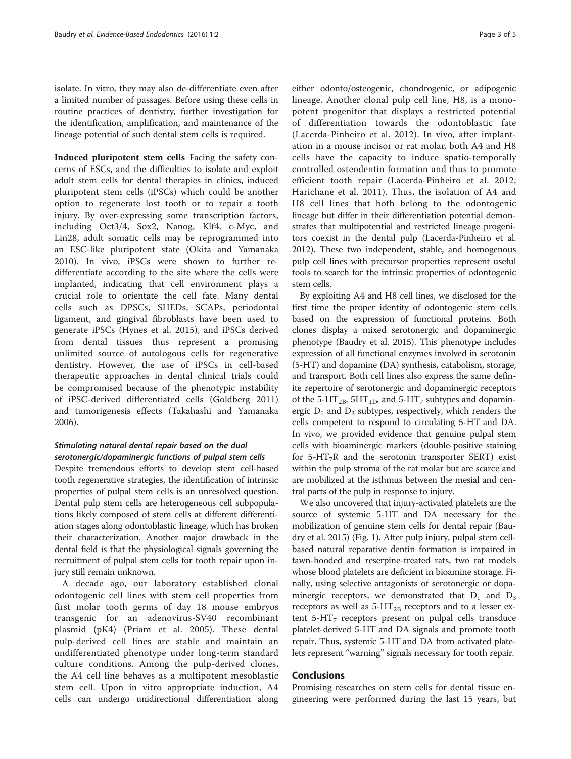isolate. In vitro, they may also de-differentiate even after a limited number of passages. Before using these cells in routine practices of dentistry, further investigation for the identification, amplification, and maintenance of the lineage potential of such dental stem cells is required.

Induced pluripotent stem cells Facing the safety concerns of ESCs, and the difficulties to isolate and exploit adult stem cells for dental therapies in clinics, induced pluripotent stem cells (iPSCs) which could be another option to regenerate lost tooth or to repair a tooth injury. By over-expressing some transcription factors, including Oct3/4, Sox2, Nanog, Klf4, c-Myc, and Lin28, adult somatic cells may be reprogrammed into an ESC-like pluripotent state (Okita and Yamanaka [2010\)](#page-4-0). In vivo, iPSCs were shown to further redifferentiate according to the site where the cells were implanted, indicating that cell environment plays a crucial role to orientate the cell fate. Many dental cells such as DPSCs, SHEDs, SCAPs, periodontal ligament, and gingival fibroblasts have been used to generate iPSCs (Hynes et al. [2015\)](#page-3-0), and iPSCs derived from dental tissues thus represent a promising unlimited source of autologous cells for regenerative dentistry. However, the use of iPSCs in cell-based therapeutic approaches in dental clinical trials could be compromised because of the phenotypic instability of iPSC-derived differentiated cells (Goldberg [2011](#page-3-0)) and tumorigenesis effects (Takahashi and Yamanaka [2006\)](#page-4-0).

## Stimulating natural dental repair based on the dual serotonergic/dopaminergic functions of pulpal stem cells

Despite tremendous efforts to develop stem cell-based tooth regenerative strategies, the identification of intrinsic properties of pulpal stem cells is an unresolved question. Dental pulp stem cells are heterogeneous cell subpopulations likely composed of stem cells at different differentiation stages along odontoblastic lineage, which has broken their characterization. Another major drawback in the dental field is that the physiological signals governing the recruitment of pulpal stem cells for tooth repair upon injury still remain unknown.

A decade ago, our laboratory established clonal odontogenic cell lines with stem cell properties from first molar tooth germs of day 18 mouse embryos transgenic for an adenovirus-SV40 recombinant plasmid (pK4) (Priam et al. [2005](#page-4-0)). These dental pulp-derived cell lines are stable and maintain an undifferentiated phenotype under long-term standard culture conditions. Among the pulp-derived clones, the A4 cell line behaves as a multipotent mesoblastic stem cell. Upon in vitro appropriate induction, A4 cells can undergo unidirectional differentiation along

either odonto/osteogenic, chondrogenic, or adipogenic lineage. Another clonal pulp cell line, H8, is a monopotent progenitor that displays a restricted potential of differentiation towards the odontoblastic fate (Lacerda-Pinheiro et al. [2012\)](#page-4-0). In vivo, after implantation in a mouse incisor or rat molar, both A4 and H8 cells have the capacity to induce spatio-temporally controlled osteodentin formation and thus to promote efficient tooth repair (Lacerda-Pinheiro et al. [2012](#page-4-0); Harichane et al. [2011\)](#page-3-0). Thus, the isolation of A4 and H8 cell lines that both belong to the odontogenic lineage but differ in their differentiation potential demonstrates that multipotential and restricted lineage progenitors coexist in the dental pulp (Lacerda-Pinheiro et al. [2012\)](#page-4-0). These two independent, stable, and homogenous pulp cell lines with precursor properties represent useful tools to search for the intrinsic properties of odontogenic stem cells.

By exploiting A4 and H8 cell lines, we disclosed for the first time the proper identity of odontogenic stem cells based on the expression of functional proteins. Both clones display a mixed serotonergic and dopaminergic phenotype (Baudry et al. [2015](#page-3-0)). This phenotype includes expression of all functional enzymes involved in serotonin (5-HT) and dopamine (DA) synthesis, catabolism, storage, and transport. Both cell lines also express the same definite repertoire of serotonergic and dopaminergic receptors of the 5-HT<sub>2B</sub>, 5HT<sub>1D</sub>, and 5-HT<sub>7</sub> subtypes and dopaminergic  $D_1$  and  $D_3$  subtypes, respectively, which renders the cells competent to respond to circulating 5-HT and DA. In vivo, we provided evidence that genuine pulpal stem cells with bioaminergic markers (double-positive staining for 5-HT<sub>7</sub>R and the serotonin transporter SERT) exist within the pulp stroma of the rat molar but are scarce and are mobilized at the isthmus between the mesial and central parts of the pulp in response to injury.

We also uncovered that injury-activated platelets are the source of systemic 5-HT and DA necessary for the mobilization of genuine stem cells for dental repair (Baudry et al. [2015](#page-3-0)) (Fig. [1](#page-3-0)). After pulp injury, pulpal stem cellbased natural reparative dentin formation is impaired in fawn-hooded and reserpine-treated rats, two rat models whose blood platelets are deficient in bioamine storage. Finally, using selective antagonists of serotonergic or dopaminergic receptors, we demonstrated that  $D_1$  and  $D_3$ receptors as well as  $5-HT_{2B}$  receptors and to a lesser extent  $5-\text{HT}_7$  receptors present on pulpal cells transduce platelet-derived 5-HT and DA signals and promote tooth repair. Thus, systemic 5-HT and DA from activated platelets represent "warning" signals necessary for tooth repair.

Promising researches on stem cells for dental tissue engineering were performed during the last 15 years, but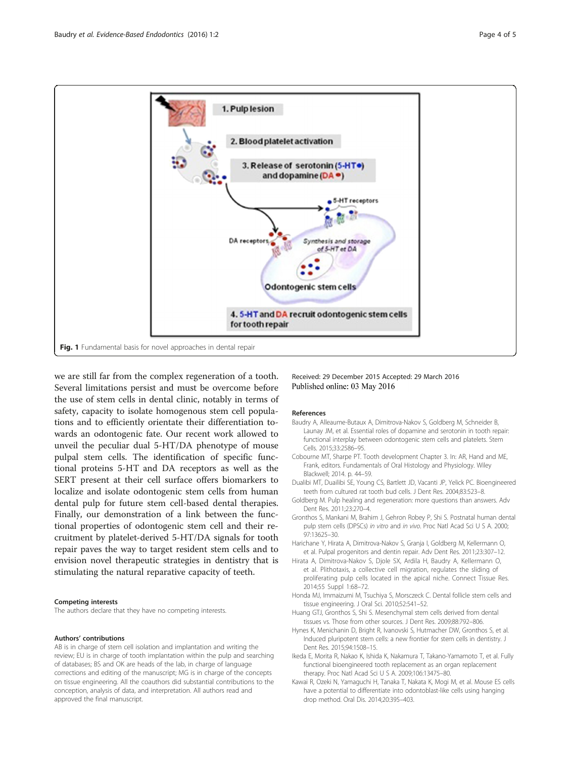<span id="page-3-0"></span>

we are still far from the complex regeneration of a tooth. Several limitations persist and must be overcome before the use of stem cells in dental clinic, notably in terms of safety, capacity to isolate homogenous stem cell populations and to efficiently orientate their differentiation towards an odontogenic fate. Our recent work allowed to unveil the peculiar dual 5-HT/DA phenotype of mouse pulpal stem cells. The identification of specific functional proteins 5-HT and DA receptors as well as the SERT present at their cell surface offers biomarkers to localize and isolate odontogenic stem cells from human dental pulp for future stem cell-based dental therapies. Finally, our demonstration of a link between the functional properties of odontogenic stem cell and their recruitment by platelet-derived 5-HT/DA signals for tooth repair paves the way to target resident stem cells and to envision novel therapeutic strategies in dentistry that is stimulating the natural reparative capacity of teeth.

### Competing interests

The authors declare that they have no competing interests.

### Authors' contributions

AB is in charge of stem cell isolation and implantation and writing the review; EU is in charge of tooth implantation within the pulp and searching of databases; BS and OK are heads of the lab, in charge of language corrections and editing of the manuscript; MG is in charge of the concepts on tissue engineering. All the coauthors did substantial contributions to the conception, analysis of data, and interpretation. All authors read and approved the final manuscript.

Received: 29 December 2015 Accepted: 29 March 2016 Published online: 03 May 2016

### References

- Baudry A, Alleaume-Butaux A, Dimitrova-Nakov S, Goldberg M, Schneider B, Launay JM, et al. Essential roles of dopamine and serotonin in tooth repair: functional interplay between odontogenic stem cells and platelets. Stem Cells. 2015;33:2586–95.
- Cobourne MT, Sharpe PT. Tooth development Chapter 3. In: AR, Hand and ME, Frank, editors. Fundamentals of Oral Histology and Physiology. Wiley Blackwell; 2014. p. 44–59.
- Dualibi MT, Duailibi SE, Young CS, Bartlett JD, Vacanti JP, Yelick PC. Bioengineered teeth from cultured rat tooth bud cells. J Dent Res. 2004;83:523–8.
- Goldberg M. Pulp healing and regeneration: more questions than answers. Adv Dent Res. 2011;23:270–4.
- Gronthos S, Mankani M, Brahim J, Gehron Robey P, Shi S. Postnatal human dental pulp stem cells (DPSCs) in vitro and in vivo. Proc Natl Acad Sci U S A. 2000; 97:13625–30.
- Harichane Y, Hirata A, Dimitrova-Nakov S, Granja I, Goldberg M, Kellermann O, et al. Pulpal progenitors and dentin repair. Adv Dent Res. 2011;23:307–12.
- Hirata A, Dimitrova-Nakov S, Djole SX, Ardila H, Baudry A, Kellermann O, et al. Plithotaxis, a collective cell migration, regulates the sliding of proliferating pulp cells located in the apical niche. Connect Tissue Res. 2014;55 Suppl 1:68–72.
- Honda MJ, Immaizumi M, Tsuchiya S, Morsczeck C. Dental follicle stem cells and tissue engineering. J Oral Sci. 2010;52:541–52.
- Huang GTJ, Gronthos S, Shi S. Mesenchymal stem cells derived from dental tissues vs. Those from other sources. J Dent Res. 2009;88:792–806.
- Hynes K, Menichanin D, Bright R, Ivanovski S, Hutmacher DW, Gronthos S, et al. Induced pluripotent stem cells: a new frontier for stem cells in dentistry. J Dent Res. 2015;94:1508–15.
- Ikeda E, Morita R, Nakao K, Ishida K, Nakamura T, Takano-Yamamoto T, et al. Fully functional bioengineered tooth replacement as an organ replacement therapy. Proc Natl Acad Sci U S A. 2009;106:13475–80.
- Kawai R, Ozeki N, Yamaguchi H, Tanaka T, Nakata K, Mogi M, et al. Mouse ES cells have a potential to differentiate into odontoblast-like cells using hanging drop method. Oral Dis. 2014;20:395–403.